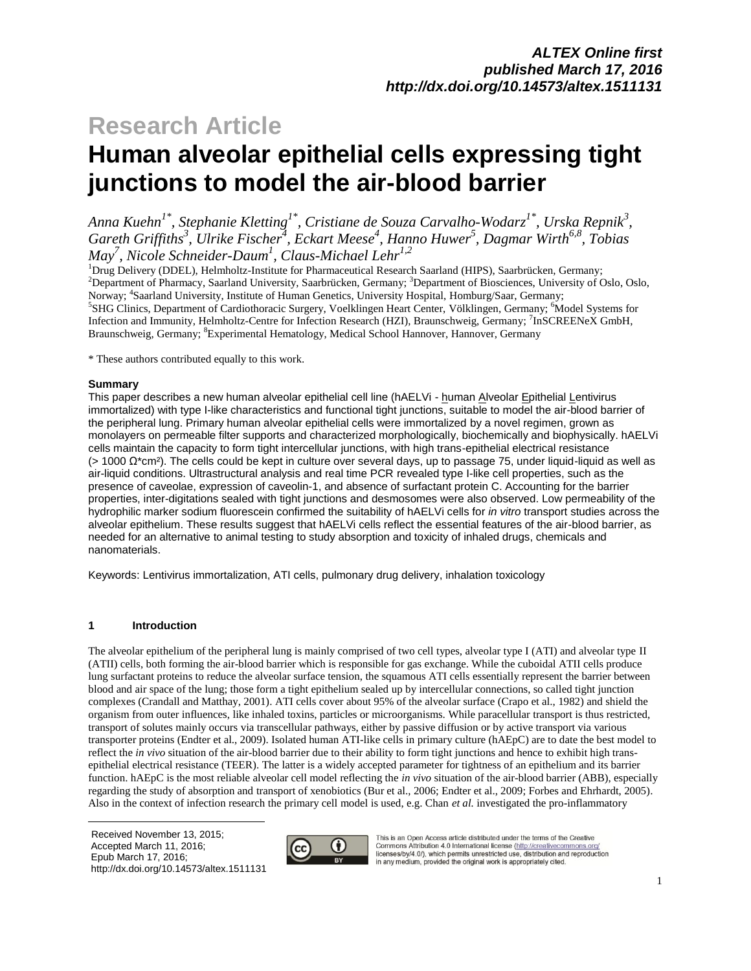# **Research Article Human alveolar epithelial cells expressing tight junctions to model the air-blood barrier**

*Anna Kuehn1\*, Stephanie Kletting1\* , Cristiane de Souza Carvalho-Wodarz1\*, Urska Repnik<sup>3</sup> , Gareth Griffiths 3 , Ulrike Fischer<sup>4</sup> , Eckart Meese<sup>4</sup> , Hanno Huwer<sup>5</sup> , Dagmar Wirth6,8 , Tobias May<sup>7</sup> , Nicole Schneider-Daum<sup>1</sup> , Claus-Michael Lehr1,2*

<sup>1</sup>Drug Delivery (DDEL), Helmholtz-Institute for Pharmaceutical Research Saarland (HIPS), Saarbrücken, Germany; <sup>2</sup>Department of Pharmacy, Saarland University, Saarbrücken, Germany; <sup>3</sup>Department of Biosciences, University of Oslo, Oslo, Norway; <sup>4</sup> Saarland University, Institute of Human Genetics, University Hospital, Homburg/Saar, Germany; <sup>5</sup>SHG Clinics, Department of Cardiothoracic Surgery, Voelklingen Heart Center, Völklingen, Germany; <sup>6</sup>Model Systems for

Infection and Immunity, Helmholtz-Centre for Infection Research (HZI), Braunschweig, Germany; <sup>7</sup>InSCREENeX GmbH, Braunschweig, Germany; <sup>8</sup>Experimental Hematology, Medical School Hannover, Hannover, Germany

\* These authors contributed equally to this work.

### **Summary**

This paper describes a new human alveolar epithelial cell line (hAELVi - human Alveolar Epithelial Lentivirus immortalized) with type I-like characteristics and functional tight junctions, suitable to model the air-blood barrier of the peripheral lung. Primary human alveolar epithelial cells were immortalized by a novel regimen, grown as monolayers on permeable filter supports and characterized morphologically, biochemically and biophysically. hAELVi cells maintain the capacity to form tight intercellular junctions, with high trans-epithelial electrical resistance (> 1000 Ω\*cm²). The cells could be kept in culture over several days, up to passage 75, under liquid-liquid as well as air-liquid conditions. Ultrastructural analysis and real time PCR revealed type I-like cell properties, such as the presence of caveolae, expression of caveolin-1, and absence of surfactant protein C. Accounting for the barrier properties, inter-digitations sealed with tight junctions and desmosomes were also observed. Low permeability of the hydrophilic marker sodium fluorescein confirmed the suitability of hAELVi cells for *in vitro* transport studies across the alveolar epithelium. These results suggest that hAELVi cells reflect the essential features of the air-blood barrier, as needed for an alternative to animal testing to study absorption and toxicity of inhaled drugs, chemicals and nanomaterials.

Keywords: Lentivirus immortalization, ATI cells, pulmonary drug delivery, inhalation toxicology

### **1 Introduction**

The alveolar epithelium of the peripheral lung is mainly comprised of two cell types, alveolar type I (ATI) and alveolar type II (ATII) cells, both forming the air-blood barrier which is responsible for gas exchange. While the cuboidal ATII cells produce lung surfactant proteins to reduce the alveolar surface tension, the squamous ATI cells essentially represent the barrier between blood and air space of the lung; those form a tight epithelium sealed up by intercellular connections, so called tight junction complexes (Crandall and Matthay, 2001). ATI cells cover about 95% of the alveolar surface (Crapo et al., 1982) and shield the organism from outer influences, like inhaled toxins, particles or microorganisms. While paracellular transport is thus restricted, transport of solutes mainly occurs via transcellular pathways, either by passive diffusion or by active transport via various transporter proteins (Endter et al., 2009). Isolated human ATI-like cells in primary culture (hAEpC) are to date the best model to reflect the *in vivo* situation of the air-blood barrier due to their ability to form tight junctions and hence to exhibit high transepithelial electrical resistance (TEER). The latter is a widely accepted parameter for tightness of an epithelium and its barrier function. hAEpC is the most reliable alveolar cell model reflecting the *in vivo* situation of the air-blood barrier (ABB), especially regarding the study of absorption and transport of xenobiotics (Bur et al., 2006; Endter et al., 2009; Forbes and Ehrhardt, 2005). Also in the context of infection research the primary cell model is used, e.g. Chan *et al.* investigated the pro-inflammatory

 $\overline{a}$ Received November 13, 2015; Accepted March 11, 2016; Epub March 17, 2016; http://dx.doi.org/10.14573/altex.1511131



This is an Open Access article distributed under the terms of the Creative<br>Commons Attribution 4.0 International license (http://creativecommons.org/ licenses/by/4.0/), which permits unrestricted use, distribution and reproduction<br>in any medium, provided the original work is appropriately cited.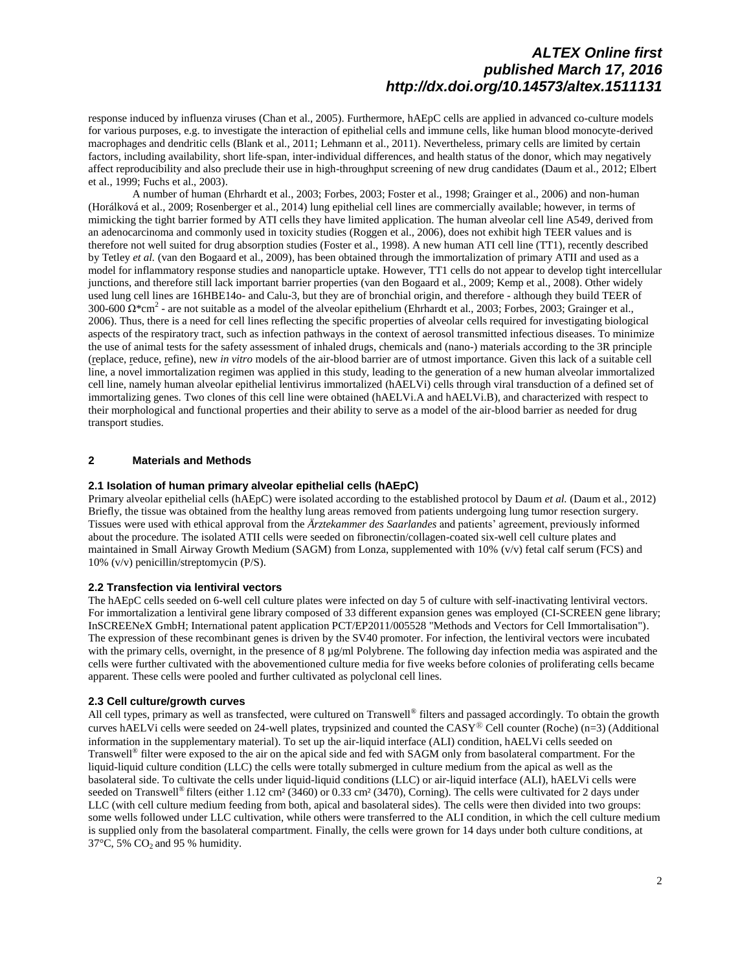response induced by influenza viruses (Chan et al., 2005). Furthermore, hAEpC cells are applied in advanced co-culture models for various purposes, e.g. to investigate the interaction of epithelial cells and immune cells, like human blood monocyte-derived macrophages and dendritic cells (Blank et al., 2011; Lehmann et al., 2011). Nevertheless, primary cells are limited by certain factors, including availability, short life-span, inter-individual differences, and health status of the donor, which may negatively affect reproducibility and also preclude their use in high-throughput screening of new drug candidates (Daum et al., 2012; Elbert et al., 1999; Fuchs et al., 2003).

A number of human (Ehrhardt et al., 2003; Forbes, 2003; Foster et al., 1998; Grainger et al., 2006) and non-human (Horálková et al., 2009; Rosenberger et al., 2014) lung epithelial cell lines are commercially available; however, in terms of mimicking the tight barrier formed by ATI cells they have limited application. The human alveolar cell line A549, derived from an adenocarcinoma and commonly used in toxicity studies (Roggen et al., 2006), does not exhibit high TEER values and is therefore not well suited for drug absorption studies (Foster et al., 1998). A new human ATI cell line (TT1), recently described by Tetley *et al.* (van den Bogaard et al., 2009), has been obtained through the immortalization of primary ATII and used as a model for inflammatory response studies and nanoparticle uptake. However, TT1 cells do not appear to develop tight intercellular junctions, and therefore still lack important barrier properties (van den Bogaard et al., 2009; Kemp et al., 2008). Other widely used lung cell lines are 16HBE14o- and Calu-3, but they are of bronchial origin, and therefore - although they build TEER of 300-600  $\Omega^*$ cm<sup>2</sup> - are not suitable as a model of the alveolar epithelium (Ehrhardt et al., 2003; Forbes, 2003; Grainger et al., 2006). Thus, there is a need for cell lines reflecting the specific properties of alveolar cells required for investigating biological aspects of the respiratory tract, such as infection pathways in the context of aerosol transmitted infectious diseases. To minimize the use of animal tests for the safety assessment of inhaled drugs, chemicals and (nano-) materials according to the 3R principle (replace, reduce, refine), new *in vitro* models of the air-blood barrier are of utmost importance. Given this lack of a suitable cell line, a novel immortalization regimen was applied in this study, leading to the generation of a new human alveolar immortalized cell line, namely human alveolar epithelial lentivirus immortalized (hAELVi) cells through viral transduction of a defined set of immortalizing genes. Two clones of this cell line were obtained (hAELVi.A and hAELVi.B), and characterized with respect to their morphological and functional properties and their ability to serve as a model of the air-blood barrier as needed for drug transport studies.

#### **2 Materials and Methods**

#### **2.1 Isolation of human primary alveolar epithelial cells (hAEpC)**

Primary alveolar epithelial cells (hAEpC) were isolated according to the established protocol by Daum *et al.* (Daum et al., 2012) Briefly, the tissue was obtained from the healthy lung areas removed from patients undergoing lung tumor resection surgery. Tissues were used with ethical approval from the *Ärztekammer des Saarlandes* and patients' agreement, previously informed about the procedure. The isolated ATII cells were seeded on fibronectin/collagen-coated six-well cell culture plates and maintained in Small Airway Growth Medium (SAGM) from Lonza, supplemented with 10% (v/v) fetal calf serum (FCS) and 10% (v/v) penicillin/streptomycin (P/S).

#### **2.2 Transfection via lentiviral vectors**

The hAEpC cells seeded on 6-well cell culture plates were infected on day 5 of culture with self-inactivating lentiviral vectors. For immortalization a lentiviral gene library composed of 33 different expansion genes was employed (CI-SCREEN gene library; InSCREENeX GmbH; International patent application PCT/EP2011/005528 "Methods and Vectors for Cell Immortalisation"). The expression of these recombinant genes is driven by the SV40 promoter. For infection, the lentiviral vectors were incubated with the primary cells, overnight, in the presence of 8  $\mu$ g/ml Polybrene. The following day infection media was aspirated and the cells were further cultivated with the abovementioned culture media for five weeks before colonies of proliferating cells became apparent. These cells were pooled and further cultivated as polyclonal cell lines.

#### **2.3 Cell culture/growth curves**

All cell types, primary as well as transfected, were cultured on Transwell® filters and passaged accordingly. To obtain the growth curves hAELVi cells were seeded on 24-well plates, trypsinized and counted the  $CASY^{\circledR}$  Cell counter (Roche) (n=3) (Additional information in the supplementary material). To set up the air-liquid interface (ALI) condition, hAELVi cells seeded on Transwell<sup>®</sup> filter were exposed to the air on the apical side and fed with SAGM only from basolateral compartment. For the liquid-liquid culture condition (LLC) the cells were totally submerged in culture medium from the apical as well as the basolateral side. To cultivate the cells under liquid-liquid conditions (LLC) or air-liquid interface (ALI), hAELVi cells were seeded on Transwell<sup>®</sup> filters (either 1.12 cm<sup>2</sup> (3460) or 0.33 cm<sup>2</sup> (3470), Corning). The cells were cultivated for 2 days under LLC (with cell culture medium feeding from both, apical and basolateral sides). The cells were then divided into two groups: some wells followed under LLC cultivation, while others were transferred to the ALI condition, in which the cell culture medium is supplied only from the basolateral compartment. Finally, the cells were grown for 14 days under both culture conditions, at 37 $\degree$ C, 5% CO<sub>2</sub> and 95 % humidity.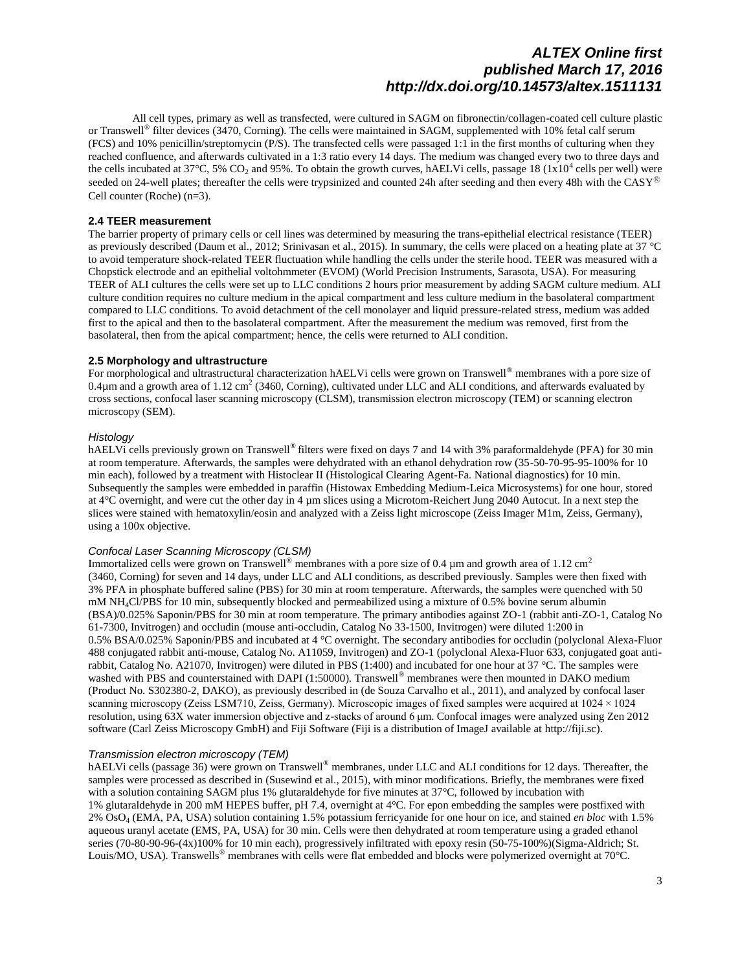All cell types, primary as well as transfected, were cultured in SAGM on fibronectin/collagen-coated cell culture plastic or Transwell<sup>®</sup> filter devices (3470, Corning). The cells were maintained in SAGM, supplemented with 10% fetal calf serum (FCS) and 10% penicillin/streptomycin (P/S). The transfected cells were passaged 1:1 in the first months of culturing when they reached confluence, and afterwards cultivated in a 1:3 ratio every 14 days. The medium was changed every two to three days and the cells incubated at 37°C, 5%  $CO_2$  and 95%. To obtain the growth curves, hAELVi cells, passage 18 (1x10<sup>4</sup> cells per well) were seeded on 24-well plates; thereafter the cells were trypsinized and counted 24h after seeding and then every 48h with the  $CASY^{\circledR}$ Cell counter (Roche) (n=3).

### **2.4 TEER measurement**

The barrier property of primary cells or cell lines was determined by measuring the trans-epithelial electrical resistance (TEER) as previously described (Daum et al., 2012; Srinivasan et al., 2015). In summary, the cells were placed on a heating plate at 37 °C to avoid temperature shock-related TEER fluctuation while handling the cells under the sterile hood. TEER was measured with a Chopstick electrode and an epithelial voltohmmeter (EVOM) (World Precision Instruments, Sarasota, USA). For measuring TEER of ALI cultures the cells were set up to LLC conditions 2 hours prior measurement by adding SAGM culture medium. ALI culture condition requires no culture medium in the apical compartment and less culture medium in the basolateral compartment compared to LLC conditions. To avoid detachment of the cell monolayer and liquid pressure-related stress, medium was added first to the apical and then to the basolateral compartment. After the measurement the medium was removed, first from the basolateral, then from the apical compartment; hence, the cells were returned to ALI condition.

#### **2.5 Morphology and ultrastructure**

For morphological and ultrastructural characterization hAELVi cells were grown on Transwell<sup>®</sup> membranes with a pore size of 0.4 $\mu$ m and a growth area of 1.12 cm<sup>2</sup> (3460, Corning), cultivated under LLC and ALI conditions, and afterwards evaluated by cross sections, confocal laser scanning microscopy (CLSM), transmission electron microscopy (TEM) or scanning electron microscopy (SEM).

#### *Histology*

hAELVi cells previously grown on Transwell<sup>®</sup> filters were fixed on days 7 and 14 with 3% paraformaldehyde (PFA) for 30 min at room temperature. Afterwards, the samples were dehydrated with an ethanol dehydration row (35-50-70-95-95-100% for 10 min each), followed by a treatment with Histoclear II (Histological Clearing Agent-Fa. National diagnostics) for 10 min. Subsequently the samples were embedded in paraffin (Histowax Embedding Medium-Leica Microsystems) for one hour, stored at 4°C overnight, and were cut the other day in 4 µm slices using a Microtom-Reichert Jung 2040 Autocut. In a next step the slices were stained with hematoxylin/eosin and analyzed with a Zeiss light microscope (Zeiss Imager M1m, Zeiss, Germany), using a 100x objective.

#### *Confocal Laser Scanning Microscopy (CLSM)*

Immortalized cells were grown on Transwell<sup>®</sup> membranes with a pore size of 0.4  $\mu$ m and growth area of 1.12 cm<sup>2</sup> (3460, Corning) for seven and 14 days, under LLC and ALI conditions, as described previously. Samples were then fixed with 3% PFA in phosphate buffered saline (PBS) for 30 min at room temperature. Afterwards, the samples were quenched with 50 mM NH4Cl/PBS for 10 min, subsequently blocked and permeabilized using a mixture of 0.5% bovine serum albumin (BSA)/0.025% Saponin/PBS for 30 min at room temperature. The primary antibodies against ZO-1 (rabbit anti-ZO-1, Catalog No 61-7300, Invitrogen) and occludin (mouse anti-occludin, Catalog No 33-1500, Invitrogen) were diluted 1:200 in 0.5% BSA/0.025% Saponin/PBS and incubated at 4 °C overnight. The secondary antibodies for occludin (polyclonal Alexa-Fluor 488 conjugated rabbit anti-mouse, Catalog No. A11059, Invitrogen) and ZO-1 (polyclonal Alexa-Fluor 633, conjugated goat antirabbit, Catalog No. A21070, Invitrogen) were diluted in PBS (1:400) and incubated for one hour at 37 °C. The samples were washed with PBS and counterstained with DAPI (1:50000). Transwell<sup>®</sup> membranes were then mounted in DAKO medium (Product No. S302380-2, DAKO), as previously described in (de Souza Carvalho et al., 2011), and analyzed by confocal laser scanning microscopy (Zeiss LSM710, Zeiss, Germany). Microscopic images of fixed samples were acquired at  $1024 \times 1024$ resolution, using 63X water immersion objective and z-stacks of around 6 μm. Confocal images were analyzed using Zen 2012 software (Carl Zeiss Microscopy GmbH) and Fiji Software (Fiji is a distribution of ImageJ available at http://fiji.sc).

### *Transmission electron microscopy (TEM)*

hAELVi cells (passage 36) were grown on Transwell<sup>®</sup> membranes, under LLC and ALI conditions for 12 days. Thereafter, the samples were processed as described in (Susewind et al., 2015), with minor modifications. Briefly, the membranes were fixed with a solution containing SAGM plus 1% glutaraldehyde for five minutes at 37°C, followed by incubation with 1% glutaraldehyde in 200 mM HEPES buffer, pH 7.4, overnight at 4°C. For epon embedding the samples were postfixed with 2% OsO<sup>4</sup> (EMA, PA, USA) solution containing 1.5% potassium ferricyanide for one hour on ice, and stained *en bloc* with 1.5% aqueous uranyl acetate (EMS, PA, USA) for 30 min. Cells were then dehydrated at room temperature using a graded ethanol series (70-80-90-96-(4x)100% for 10 min each), progressively infiltrated with epoxy resin (50-75-100%)(Sigma-Aldrich; St. Louis/MO, USA). Transwells® membranes with cells were flat embedded and blocks were polymerized overnight at 70°C.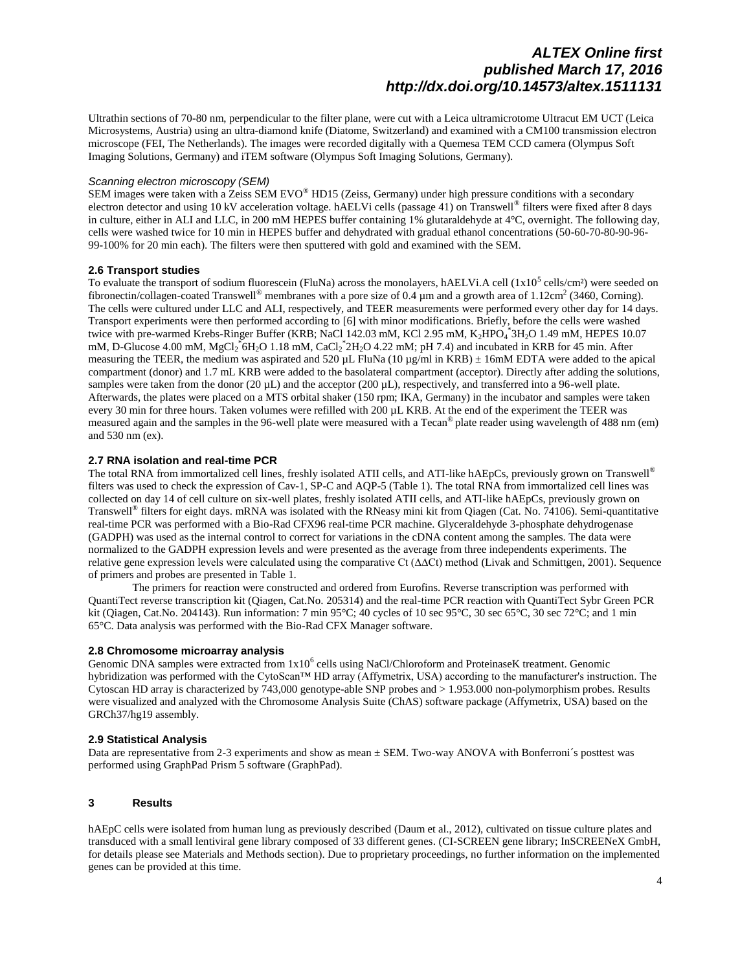Ultrathin sections of 70-80 nm, perpendicular to the filter plane, were cut with a Leica ultramicrotome Ultracut EM UCT (Leica Microsystems, Austria) using an ultra-diamond knife (Diatome, Switzerland) and examined with a CM100 transmission electron microscope (FEI, The Netherlands). The images were recorded digitally with a Quemesa TEM CCD camera (Olympus Soft Imaging Solutions, Germany) and iTEM software (Olympus Soft Imaging Solutions, Germany).

#### *Scanning electron microscopy (SEM)*

SEM images were taken with a Zeiss SEM EVO® HD15 (Zeiss, Germany) under high pressure conditions with a secondary electron detector and using 10 kV acceleration voltage. hAELVi cells (passage 41) on Transwell® filters were fixed after 8 days in culture, either in ALI and LLC, in 200 mM HEPES buffer containing 1% glutaraldehyde at 4°C, overnight. The following day, cells were washed twice for 10 min in HEPES buffer and dehydrated with gradual ethanol concentrations (50-60-70-80-90-96- 99-100% for 20 min each). The filters were then sputtered with gold and examined with the SEM.

### **2.6 Transport studies**

To evaluate the transport of sodium fluorescein (FluNa) across the monolayers, hAELVi.A cell  $(1x10^5 \text{ cells/cm}^2)$  were seeded on fibronectin/collagen-coated Transwell<sup>®</sup> membranes with a pore size of 0.4 µm and a growth area of 1.12cm<sup>2</sup> (3460, Corning). The cells were cultured under LLC and ALI, respectively, and TEER measurements were performed every other day for 14 days. Transport experiments were then performed according to [6] with minor modifications. Briefly, before the cells were washed twice with pre-warmed Krebs-Ringer Buffer (KRB; NaCl 142.03 mM, KCl 2.95 mM, K<sub>2</sub>HPO<sub>4</sub><sup>\*</sup>3H<sub>2</sub>O 1.49 mM, HEPES 10.07 mM, D-Glucose 4.00 mM,  $MgCl_2^*$ 6H<sub>2</sub>O 1.18 mM, CaCl<sub>2</sub><sup> $*$ </sup>2H<sub>2</sub>O 4.22 mM; pH 7.4) and incubated in KRB for 45 min. After measuring the TEER, the medium was aspirated and 520  $\mu$ L FluNa (10  $\mu$ g/ml in KRB)  $\pm$  16mM EDTA were added to the apical compartment (donor) and 1.7 mL KRB were added to the basolateral compartment (acceptor). Directly after adding the solutions, samples were taken from the donor (20  $\mu$ L) and the acceptor (200  $\mu$ L), respectively, and transferred into a 96-well plate. Afterwards, the plates were placed on a MTS orbital shaker (150 rpm; IKA, Germany) in the incubator and samples were taken every 30 min for three hours. Taken volumes were refilled with 200 µL KRB. At the end of the experiment the TEER was measured again and the samples in the 96-well plate were measured with a Tecan<sup>®</sup> plate reader using wavelength of 488 nm (em) and 530 nm (ex).

#### **2.7 RNA isolation and real-time PCR**

The total RNA from immortalized cell lines, freshly isolated ATII cells, and ATI-like hAEpCs, previously grown on Transwell<sup>®</sup> filters was used to check the expression of Cav-1, SP-C and AQP-5 (Table 1). The total RNA from immortalized cell lines was collected on day 14 of cell culture on six-well plates, freshly isolated ATII cells, and ATI-like hAEpCs, previously grown on Transwell<sup>®</sup> filters for eight days. mRNA was isolated with the RNeasy mini kit from Qiagen (Cat. No. 74106). Semi-quantitative real-time PCR was performed with a Bio-Rad CFX96 real-time PCR machine. Glyceraldehyde 3-phosphate dehydrogenase (GADPH) was used as the internal control to correct for variations in the cDNA content among the samples. The data were normalized to the GADPH expression levels and were presented as the average from three independents experiments. The relative gene expression levels were calculated using the comparative Ct (∆∆Ct) method (Livak and Schmittgen, 2001). Sequence of primers and probes are presented in Table 1.

The primers for reaction were constructed and ordered from Eurofins. Reverse transcription was performed with QuantiTect reverse transcription kit (Qiagen, Cat.No. 205314) and the real-time PCR reaction with QuantiTect Sybr Green PCR kit (Qiagen, Cat.No. 204143). Run information: 7 min 95°C; 40 cycles of 10 sec 95°C, 30 sec 65°C, 30 sec 72°C; and 1 min 65°C. Data analysis was performed with the Bio-Rad CFX Manager software.

#### **2.8 Chromosome microarray analysis**

Genomic DNA samples were extracted from  $1x10^6$  cells using NaCl/Chloroform and ProteinaseK treatment. Genomic hybridization was performed with the CytoScan™ HD array (Affymetrix, USA) according to the manufacturer's instruction. The Cytoscan HD array is characterized by 743,000 genotype-able SNP probes and > 1.953.000 non-polymorphism probes. Results were visualized and analyzed with the Chromosome Analysis Suite (ChAS) software package (Affymetrix, USA) based on the GRCh37/hg19 assembly.

#### **2.9 Statistical Analysis**

Data are representative from 2-3 experiments and show as mean  $\pm$  SEM. Two-way ANOVA with Bonferroni's posttest was performed using GraphPad Prism 5 software (GraphPad).

### **3 Results**

hAEpC cells were isolated from human lung as previously described (Daum et al., 2012), cultivated on tissue culture plates and transduced with a small lentiviral gene library composed of 33 different genes. (CI-SCREEN gene library; InSCREENeX GmbH, for details please see Materials and Methods section). Due to proprietary proceedings, no further information on the implemented genes can be provided at this time.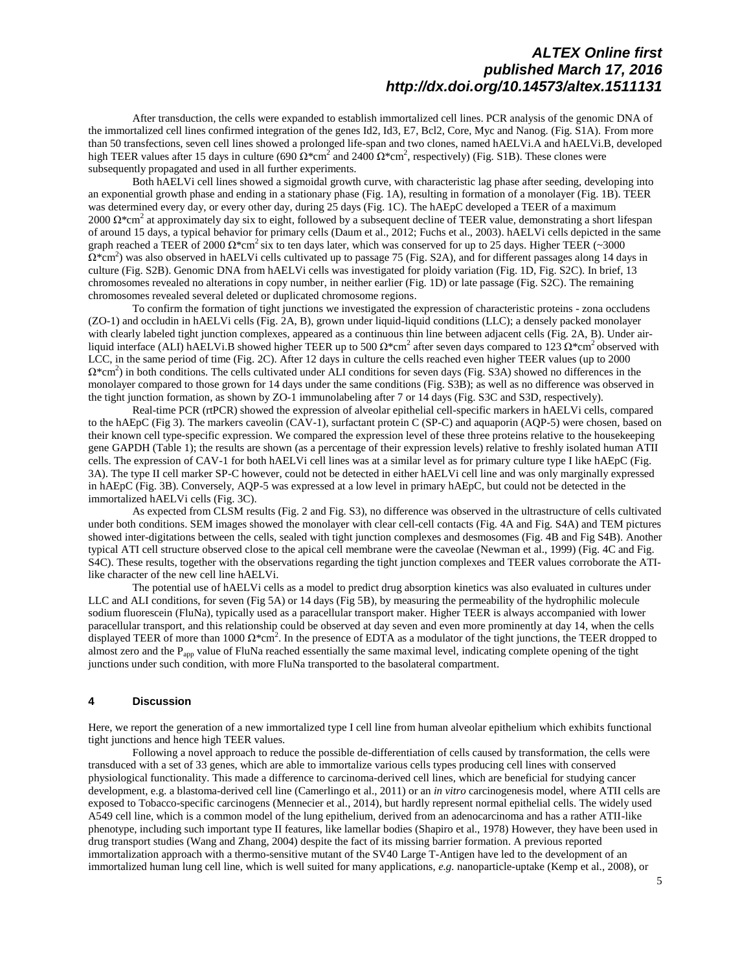After transduction, the cells were expanded to establish immortalized cell lines. PCR analysis of the genomic DNA of the immortalized cell lines confirmed integration of the genes Id2, Id3, E7, Bcl2, Core, Myc and Nanog. (Fig. S1A). From more than 50 transfections, seven cell lines showed a prolonged life-span and two clones, named hAELVi.A and hAELVi.B, developed high TEER values after 15 days in culture (690  $\Omega^*$ cm<sup>2</sup> and 2400  $\Omega^*$ cm<sup>2</sup>, respectively) (Fig. S1B). These clones were subsequently propagated and used in all further experiments.

Both hAELVi cell lines showed a sigmoidal growth curve, with characteristic lag phase after seeding, developing into an exponential growth phase and ending in a stationary phase (Fig. 1A), resulting in formation of a monolayer (Fig. 1B). TEER was determined every day, or every other day, during 25 days (Fig. 1C). The hAEpC developed a TEER of a maximum 2000  $\Omega^*$ cm<sup>2</sup> at approximately day six to eight, followed by a subsequent decline of TEER value, demonstrating a short lifespan of around 15 days, a typical behavior for primary cells (Daum et al., 2012; Fuchs et al., 2003). hAELVi cells depicted in the same graph reached a TEER of 2000  $\Omega^*$ cm<sup>2</sup> six to ten days later, which was conserved for up to 25 days. Higher TEER (~3000  $\Omega^*$ cm<sup>2</sup>) was also observed in hAELVi cells cultivated up to passage 75 (Fig. S2A), and for different passages along 14 days in culture (Fig. S2B). Genomic DNA from hAELVi cells was investigated for ploidy variation (Fig. 1D, Fig. S2C). In brief, 13 chromosomes revealed no alterations in copy number, in neither earlier (Fig. 1D) or late passage (Fig. S2C). The remaining chromosomes revealed several deleted or duplicated chromosome regions.

To confirm the formation of tight junctions we investigated the expression of characteristic proteins - zona occludens (ZO-1) and occludin in hAELVi cells (Fig. 2A, B), grown under liquid-liquid conditions (LLC); a densely packed monolayer with clearly labeled tight junction complexes, appeared as a continuous thin line between adjacent cells (Fig. 2A, B). Under airliquid interface (ALI) hAELVi.B showed higher TEER up to 500  $\Omega^*$ cm<sup>2</sup> after seven days compared to 123  $\Omega^*$ cm<sup>2</sup> observed with LCC, in the same period of time (Fig. 2C). After 12 days in culture the cells reached even higher TEER values (up to 2000  $\Omega^*$ cm<sup>2</sup>) in both conditions. The cells cultivated under ALI conditions for seven days (Fig. S3A) showed no differences in the monolayer compared to those grown for 14 days under the same conditions (Fig. S3B); as well as no difference was observed in the tight junction formation, as shown by ZO-1 immunolabeling after 7 or 14 days (Fig. S3C and S3D, respectively).

Real-time PCR (rtPCR) showed the expression of alveolar epithelial cell-specific markers in hAELVi cells, compared to the hAEpC (Fig 3). The markers caveolin (CAV-1), surfactant protein C (SP-C) and aquaporin (AQP-5) were chosen, based on their known cell type-specific expression. We compared the expression level of these three proteins relative to the housekeeping gene GAPDH (Table 1); the results are shown (as a percentage of their expression levels) relative to freshly isolated human ATII cells. The expression of CAV-1 for both hAELVi cell lines was at a similar level as for primary culture type I like hAEpC (Fig. 3A). The type II cell marker SP-C however, could not be detected in either hAELVi cell line and was only marginally expressed in hAEpC (Fig. 3B)*.* Conversely, AQP-5 was expressed at a low level in primary hAEpC, but could not be detected in the immortalized hAELVi cells (Fig. 3C).

As expected from CLSM results (Fig. 2 and Fig. S3), no difference was observed in the ultrastructure of cells cultivated under both conditions. SEM images showed the monolayer with clear cell-cell contacts (Fig. 4A and Fig. S4A) and TEM pictures showed inter-digitations between the cells, sealed with tight junction complexes and desmosomes (Fig. 4B and Fig S4B). Another typical ATI cell structure observed close to the apical cell membrane were the caveolae (Newman et al., 1999) (Fig. 4C and Fig. S4C). These results, together with the observations regarding the tight junction complexes and TEER values corroborate the ATIlike character of the new cell line hAELVi.

The potential use of hAELVi cells as a model to predict drug absorption kinetics was also evaluated in cultures under LLC and ALI conditions, for seven (Fig 5A) or 14 days (Fig 5B), by measuring the permeability of the hydrophilic molecule sodium fluorescein (FluNa), typically used as a paracellular transport maker. Higher TEER is always accompanied with lower paracellular transport, and this relationship could be observed at day seven and even more prominently at day 14, when the cells displayed TEER of more than 1000  $\Omega^*$ cm<sup>2</sup>. In the presence of EDTA as a modulator of the tight junctions, the TEER dropped to almost zero and the  $P_{app}$  value of FluNa reached essentially the same maximal level, indicating complete opening of the tight junctions under such condition, with more FluNa transported to the basolateral compartment.

### **4 Discussion**

Here, we report the generation of a new immortalized type I cell line from human alveolar epithelium which exhibits functional tight junctions and hence high TEER values.

Following a novel approach to reduce the possible de-differentiation of cells caused by transformation, the cells were transduced with a set of 33 genes, which are able to immortalize various cells types producing cell lines with conserved physiological functionality. This made a difference to carcinoma-derived cell lines, which are beneficial for studying cancer development, e.g. a blastoma-derived cell line (Camerlingo et al., 2011) or an *in vitro* carcinogenesis model, where ATII cells are exposed to Tobacco-specific carcinogens (Mennecier et al., 2014), but hardly represent normal epithelial cells. The widely used A549 cell line, which is a common model of the lung epithelium, derived from an adenocarcinoma and has a rather ATII-like phenotype, including such important type II features, like lamellar bodies (Shapiro et al., 1978) However, they have been used in drug transport studies (Wang and Zhang, 2004) despite the fact of its missing barrier formation. A previous reported immortalization approach with a thermo-sensitive mutant of the SV40 Large T-Antigen have led to the development of an immortalized human lung cell line, which is well suited for many applications, *e.g.* nanoparticle-uptake (Kemp et al., 2008), or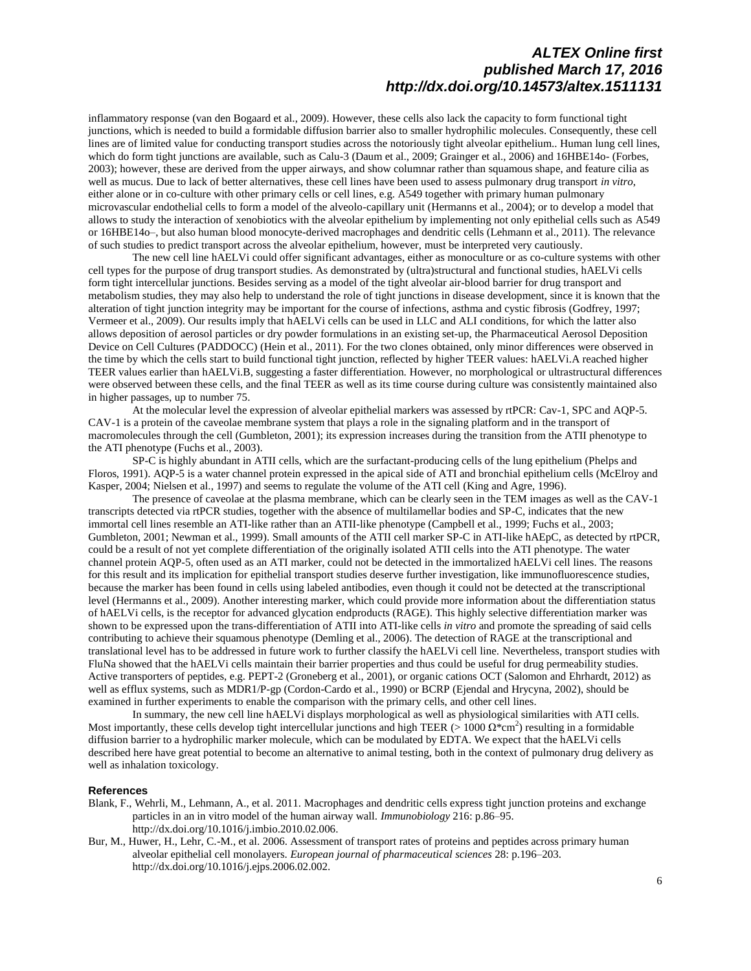inflammatory response (van den Bogaard et al., 2009). However, these cells also lack the capacity to form functional tight junctions, which is needed to build a formidable diffusion barrier also to smaller hydrophilic molecules. Consequently, these cell lines are of limited value for conducting transport studies across the notoriously tight alveolar epithelium.. Human lung cell lines, which do form tight junctions are available, such as Calu-3 (Daum et al., 2009; Grainger et al., 2006) and 16HBE14o- (Forbes, 2003); however, these are derived from the upper airways, and show columnar rather than squamous shape, and feature cilia as well as mucus. Due to lack of better alternatives, these cell lines have been used to assess pulmonary drug transport *in vitro*, either alone or in co-culture with other primary cells or cell lines, e.g. A549 together with primary human pulmonary microvascular endothelial cells to form a model of the alveolo-capillary unit (Hermanns et al., 2004); or to develop a model that allows to study the interaction of xenobiotics with the alveolar epithelium by implementing not only epithelial cells such as A549 or 16HBE14o–, but also human blood monocyte-derived macrophages and dendritic cells (Lehmann et al., 2011). The relevance of such studies to predict transport across the alveolar epithelium, however, must be interpreted very cautiously.

The new cell line hAELVi could offer significant advantages, either as monoculture or as co-culture systems with other cell types for the purpose of drug transport studies. As demonstrated by (ultra)structural and functional studies, hAELVi cells form tight intercellular junctions. Besides serving as a model of the tight alveolar air-blood barrier for drug transport and metabolism studies, they may also help to understand the role of tight junctions in disease development, since it is known that the alteration of tight junction integrity may be important for the course of infections, asthma and cystic fibrosis (Godfrey, 1997; Vermeer et al., 2009). Our results imply that hAELVi cells can be used in LLC and ALI conditions, for which the latter also allows deposition of aerosol particles or dry powder formulations in an existing set-up, the Pharmaceutical Aerosol Deposition Device on Cell Cultures (PADDOCC) (Hein et al., 2011). For the two clones obtained, only minor differences were observed in the time by which the cells start to build functional tight junction, reflected by higher TEER values: hAELVi.A reached higher TEER values earlier than hAELVi.B, suggesting a faster differentiation. However, no morphological or ultrastructural differences were observed between these cells, and the final TEER as well as its time course during culture was consistently maintained also in higher passages, up to number 75.

At the molecular level the expression of alveolar epithelial markers was assessed by rtPCR: Cav-1, SPC and AQP-5. CAV-1 is a protein of the caveolae membrane system that plays a role in the signaling platform and in the transport of macromolecules through the cell (Gumbleton, 2001); its expression increases during the transition from the ATII phenotype to the ATI phenotype (Fuchs et al., 2003).

SP-C is highly abundant in ATII cells, which are the surfactant-producing cells of the lung epithelium (Phelps and Floros, 1991). AQP-5 is a water channel protein expressed in the apical side of ATI and bronchial epithelium cells (McElroy and Kasper, 2004; Nielsen et al., 1997) and seems to regulate the volume of the ATI cell (King and Agre, 1996).

The presence of caveolae at the plasma membrane, which can be clearly seen in the TEM images as well as the CAV-1 transcripts detected via rtPCR studies, together with the absence of multilamellar bodies and SP-C, indicates that the new immortal cell lines resemble an ATI-like rather than an ATII-like phenotype (Campbell et al., 1999; Fuchs et al., 2003; Gumbleton, 2001; Newman et al., 1999). Small amounts of the ATII cell marker SP-C in ATI-like hAEpC, as detected by rtPCR, could be a result of not yet complete differentiation of the originally isolated ATII cells into the ATI phenotype. The water channel protein AQP-5, often used as an ATI marker, could not be detected in the immortalized hAELVi cell lines. The reasons for this result and its implication for epithelial transport studies deserve further investigation, like immunofluorescence studies, because the marker has been found in cells using labeled antibodies, even though it could not be detected at the transcriptional level (Hermanns et al., 2009). Another interesting marker, which could provide more information about the differentiation status of hAELVi cells, is the receptor for advanced glycation endproducts (RAGE). This highly selective differentiation marker was shown to be expressed upon the trans-differentiation of ATII into ATI-like cells *in vitro* and promote the spreading of said cells contributing to achieve their squamous phenotype (Demling et al., 2006). The detection of RAGE at the transcriptional and translational level has to be addressed in future work to further classify the hAELVi cell line. Nevertheless, transport studies with FluNa showed that the hAELVi cells maintain their barrier properties and thus could be useful for drug permeability studies. Active transporters of peptides, e.g. PEPT-2 (Groneberg et al., 2001), or organic cations OCT (Salomon and Ehrhardt, 2012) as well as efflux systems, such as MDR1/P-gp (Cordon-Cardo et al., 1990) or BCRP (Ejendal and Hrycyna, 2002), should be examined in further experiments to enable the comparison with the primary cells, and other cell lines.

In summary, the new cell line hAELVi displays morphological as well as physiological similarities with ATI cells. Most importantly, these cells develop tight intercellular junctions and high TEER (> 1000  $\Omega^*$ cm<sup>2</sup>) resulting in a formidable diffusion barrier to a hydrophilic marker molecule, which can be modulated by EDTA. We expect that the hAELVi cells described here have great potential to become an alternative to animal testing, both in the context of pulmonary drug delivery as well as inhalation toxicology.

### **References**

- Blank, F., Wehrli, M., Lehmann, A., et al. 2011. Macrophages and dendritic cells express tight junction proteins and exchange particles in an in vitro model of the human airway wall. *Immunobiology* 216: p.86–95. http://dx.doi.org/10.1016/j.imbio.2010.02.006.
- Bur, M., Huwer, H., Lehr, C.-M., et al. 2006. Assessment of transport rates of proteins and peptides across primary human alveolar epithelial cell monolayers. *European journal of pharmaceutical sciences* 28: p.196–203. http://dx.doi.org/10.1016/j.ejps.2006.02.002.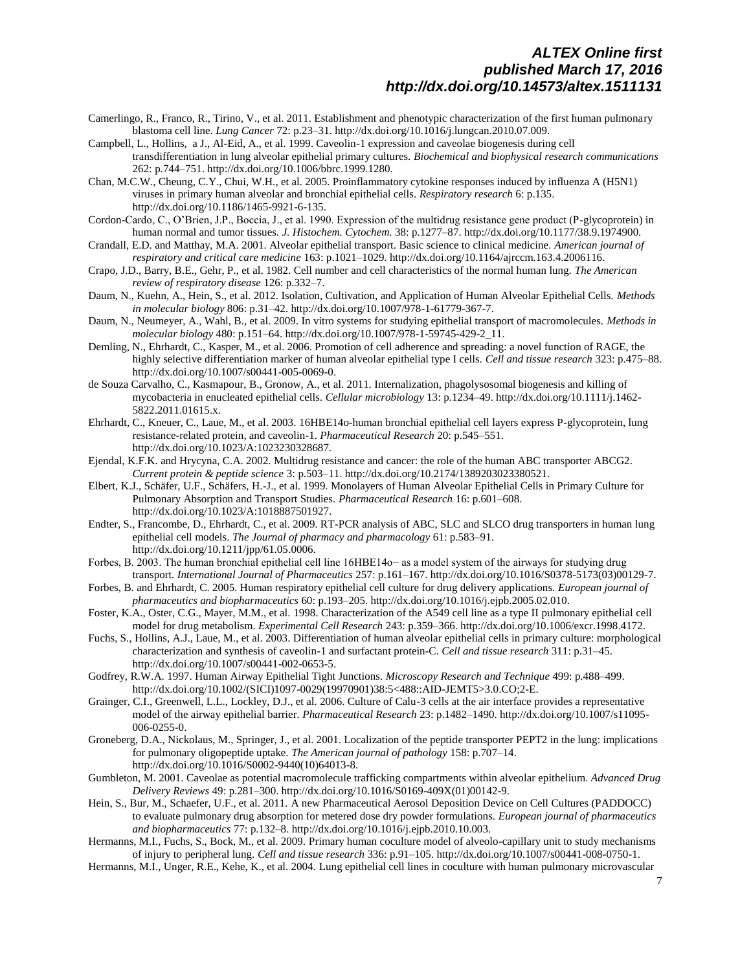- Camerlingo, R., Franco, R., Tirino, V., et al. 2011. Establishment and phenotypic characterization of the first human pulmonary blastoma cell line. *Lung Cancer* 72: p.23–31. http://dx.doi.org/10.1016/j.lungcan.2010.07.009.
- Campbell, L., Hollins, a J., Al-Eid, A., et al. 1999. Caveolin-1 expression and caveolae biogenesis during cell transdifferentiation in lung alveolar epithelial primary cultures. *Biochemical and biophysical research communications* 262: p.744–751. http://dx.doi.org/10.1006/bbrc.1999.1280.
- Chan, M.C.W., Cheung, C.Y., Chui, W.H., et al. 2005. Proinflammatory cytokine responses induced by influenza A (H5N1) viruses in primary human alveolar and bronchial epithelial cells. *Respiratory research* 6: p.135. http://dx.doi.org/10.1186/1465-9921-6-135.
- Cordon-Cardo, C., O'Brien, J.P., Boccia, J., et al. 1990. Expression of the multidrug resistance gene product (P-glycoprotein) in human normal and tumor tissues. *J. Histochem. Cytochem.* 38: p.1277–87. http://dx.doi.org/10.1177/38.9.1974900.
- Crandall, E.D. and Matthay, M.A. 2001. Alveolar epithelial transport. Basic science to clinical medicine. *American journal of respiratory and critical care medicine* 163: p.1021–1029. http://dx.doi.org/10.1164/ajrccm.163.4.2006116.
- Crapo, J.D., Barry, B.E., Gehr, P., et al. 1982. Cell number and cell characteristics of the normal human lung. *The American review of respiratory disease* 126: p.332–7.
- Daum, N., Kuehn, A., Hein, S., et al. 2012. Isolation, Cultivation, and Application of Human Alveolar Epithelial Cells. *Methods in molecular biology* 806: p.31–42. http://dx.doi.org/10.1007/978-1-61779-367-7.
- Daum, N., Neumeyer, A., Wahl, B., et al. 2009. In vitro systems for studying epithelial transport of macromolecules. *Methods in molecular biology* 480: p.151–64. http://dx.doi.org/10.1007/978-1-59745-429-2\_11.
- Demling, N., Ehrhardt, C., Kasper, M., et al. 2006. Promotion of cell adherence and spreading: a novel function of RAGE, the highly selective differentiation marker of human alveolar epithelial type I cells. *Cell and tissue research* 323: p.475–88. http://dx.doi.org/10.1007/s00441-005-0069-0.
- de Souza Carvalho, C., Kasmapour, B., Gronow, A., et al. 2011. Internalization, phagolysosomal biogenesis and killing of mycobacteria in enucleated epithelial cells. *Cellular microbiology* 13: p.1234–49. http://dx.doi.org/10.1111/j.1462- 5822.2011.01615.x.
- Ehrhardt, C., Kneuer, C., Laue, M., et al. 2003. 16HBE14o-human bronchial epithelial cell layers express P-glycoprotein, lung resistance-related protein, and caveolin-1. *Pharmaceutical Research* 20: p.545–551. http://dx.doi.org/10.1023/A:1023230328687.
- Ejendal, K.F.K. and Hrycyna, C.A. 2002. Multidrug resistance and cancer: the role of the human ABC transporter ABCG2. *Current protein & peptide science* 3: p.503–11. http://dx.doi.org/10.2174/1389203023380521.
- Elbert, K.J., Schäfer, U.F., Schäfers, H.-J., et al. 1999. Monolayers of Human Alveolar Epithelial Cells in Primary Culture for Pulmonary Absorption and Transport Studies. *Pharmaceutical Research* 16: p.601–608. http://dx.doi.org/10.1023/A:1018887501927.
- Endter, S., Francombe, D., Ehrhardt, C., et al. 2009. RT-PCR analysis of ABC, SLC and SLCO drug transporters in human lung epithelial cell models. *The Journal of pharmacy and pharmacology* 61: p.583–91. http://dx.doi.org/10.1211/jpp/61.05.0006.
- Forbes, B. 2003. The human bronchial epithelial cell line 16HBE14o− as a model system of the airways for studying drug transport. *International Journal of Pharmaceutics* 257: p.161–167. http://dx.doi.org/10.1016/S0378-5173(03)00129-7.
- Forbes, B. and Ehrhardt, C. 2005. Human respiratory epithelial cell culture for drug delivery applications. *European journal of pharmaceutics and biopharmaceutics* 60: p.193–205. http://dx.doi.org/10.1016/j.ejpb.2005.02.010.
- Foster, K.A., Oster, C.G., Mayer, M.M., et al. 1998. Characterization of the A549 cell line as a type II pulmonary epithelial cell model for drug metabolism. *Experimental Cell Research* 243: p.359–366. http://dx.doi.org/10.1006/excr.1998.4172.
- Fuchs, S., Hollins, A.J., Laue, M., et al. 2003. Differentiation of human alveolar epithelial cells in primary culture: morphological characterization and synthesis of caveolin-1 and surfactant protein-C. *Cell and tissue research* 311: p.31–45. http://dx.doi.org/10.1007/s00441-002-0653-5.
- Godfrey, R.W.A. 1997. Human Airway Epithelial Tight Junctions. *Microscopy Research and Technique* 499: p.488–499. http://dx.doi.org/10.1002/(SICI)1097-0029(19970901)38:5<488::AID-JEMT5>3.0.CO;2-E.
- Grainger, C.I., Greenwell, L.L., Lockley, D.J., et al. 2006. Culture of Calu-3 cells at the air interface provides a representative model of the airway epithelial barrier. *Pharmaceutical Research* 23: p.1482–1490. http://dx.doi.org/10.1007/s11095- 006-0255-0.
- Groneberg, D.A., Nickolaus, M., Springer, J., et al. 2001. Localization of the peptide transporter PEPT2 in the lung: implications for pulmonary oligopeptide uptake. *The American journal of pathology* 158: p.707–14. http://dx.doi.org/10.1016/S0002-9440(10)64013-8.
- Gumbleton, M. 2001. Caveolae as potential macromolecule trafficking compartments within alveolar epithelium. *Advanced Drug Delivery Reviews* 49: p.281–300. http://dx.doi.org/10.1016/S0169-409X(01)00142-9.
- Hein, S., Bur, M., Schaefer, U.F., et al. 2011. A new Pharmaceutical Aerosol Deposition Device on Cell Cultures (PADDOCC) to evaluate pulmonary drug absorption for metered dose dry powder formulations. *European journal of pharmaceutics and biopharmaceutics* 77: p.132–8. http://dx.doi.org/10.1016/j.ejpb.2010.10.003.
- Hermanns, M.I., Fuchs, S., Bock, M., et al. 2009. Primary human coculture model of alveolo-capillary unit to study mechanisms of injury to peripheral lung. *Cell and tissue research* 336: p.91–105. http://dx.doi.org/10.1007/s00441-008-0750-1.
- Hermanns, M.I., Unger, R.E., Kehe, K., et al. 2004. Lung epithelial cell lines in coculture with human pulmonary microvascular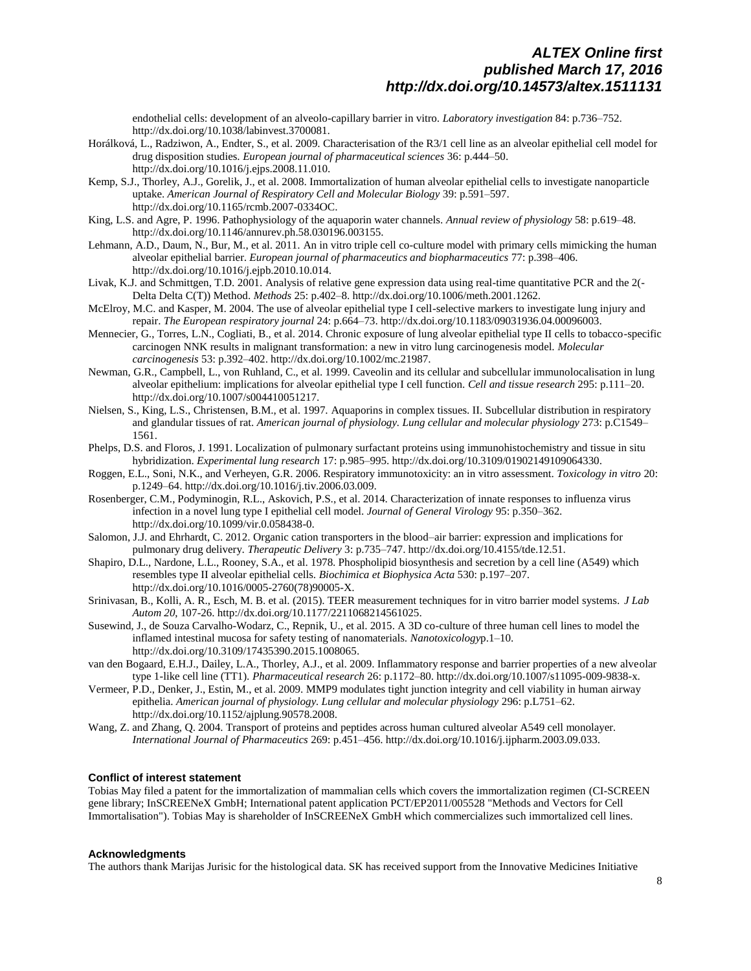endothelial cells: development of an alveolo-capillary barrier in vitro. *Laboratory investigation* 84: p.736–752. http://dx.doi.org/10.1038/labinvest.3700081.

- Horálková, L., Radziwon, A., Endter, S., et al. 2009. Characterisation of the R3/1 cell line as an alveolar epithelial cell model for drug disposition studies. *European journal of pharmaceutical sciences* 36: p.444–50. http://dx.doi.org/10.1016/j.ejps.2008.11.010.
- Kemp, S.J., Thorley, A.J., Gorelik, J., et al. 2008. Immortalization of human alveolar epithelial cells to investigate nanoparticle uptake. *American Journal of Respiratory Cell and Molecular Biology* 39: p.591–597. http://dx.doi.org/10.1165/rcmb.2007-0334OC.
- King, L.S. and Agre, P. 1996. Pathophysiology of the aquaporin water channels. *Annual review of physiology* 58: p.619–48. http://dx.doi.org/10.1146/annurev.ph.58.030196.003155.
- Lehmann, A.D., Daum, N., Bur, M., et al. 2011. An in vitro triple cell co-culture model with primary cells mimicking the human alveolar epithelial barrier. *European journal of pharmaceutics and biopharmaceutics* 77: p.398–406. http://dx.doi.org/10.1016/j.ejpb.2010.10.014.
- Livak, K.J. and Schmittgen, T.D. 2001. Analysis of relative gene expression data using real-time quantitative PCR and the 2(- Delta Delta C(T)) Method. *Methods* 25: p.402–8. http://dx.doi.org/10.1006/meth.2001.1262.
- McElroy, M.C. and Kasper, M. 2004. The use of alveolar epithelial type I cell-selective markers to investigate lung injury and repair. *The European respiratory journal* 24: p.664–73. http://dx.doi.org/10.1183/09031936.04.00096003.
- Mennecier, G., Torres, L.N., Cogliati, B., et al. 2014. Chronic exposure of lung alveolar epithelial type II cells to tobacco-specific carcinogen NNK results in malignant transformation: a new in vitro lung carcinogenesis model. *Molecular carcinogenesis* 53: p.392–402. http://dx.doi.org/10.1002/mc.21987.
- Newman, G.R., Campbell, L., von Ruhland, C., et al. 1999. Caveolin and its cellular and subcellular immunolocalisation in lung alveolar epithelium: implications for alveolar epithelial type I cell function. *Cell and tissue research* 295: p.111–20. http://dx.doi.org/10.1007/s004410051217.
- Nielsen, S., King, L.S., Christensen, B.M., et al. 1997. Aquaporins in complex tissues. II. Subcellular distribution in respiratory and glandular tissues of rat. *American journal of physiology. Lung cellular and molecular physiology* 273: p.C1549– 1561.
- Phelps, D.S. and Floros, J. 1991. Localization of pulmonary surfactant proteins using immunohistochemistry and tissue in situ hybridization. *Experimental lung research* 17: p.985–995. http://dx.doi.org/10.3109/01902149109064330.
- Roggen, E.L., Soni, N.K., and Verheyen, G.R. 2006. Respiratory immunotoxicity: an in vitro assessment. *Toxicology in vitro* 20: p.1249–64. http://dx.doi.org/10.1016/j.tiv.2006.03.009.
- Rosenberger, C.M., Podyminogin, R.L., Askovich, P.S., et al. 2014. Characterization of innate responses to influenza virus infection in a novel lung type I epithelial cell model. *Journal of General Virology* 95: p.350–362. http://dx.doi.org/10.1099/vir.0.058438-0.
- Salomon, J.J. and Ehrhardt, C. 2012. Organic cation transporters in the blood–air barrier: expression and implications for pulmonary drug delivery. *Therapeutic Delivery* 3: p.735–747. http://dx.doi.org/10.4155/tde.12.51.
- Shapiro, D.L., Nardone, L.L., Rooney, S.A., et al. 1978. Phospholipid biosynthesis and secretion by a cell line (A549) which resembles type II alveolar epithelial cells. *Biochimica et Biophysica Acta* 530: p.197–207. http://dx.doi.org/10.1016/0005-2760(78)90005-X.
- Srinivasan, B., Kolli, A. R., Esch, M. B. et al. (2015). TEER measurement techniques for in vitro barrier model systems. *J Lab Autom 20*, 107-26. http://dx.doi.org/10.1177/2211068214561025.
- Susewind, J., de Souza Carvalho-Wodarz, C., Repnik, U., et al. 2015. A 3D co-culture of three human cell lines to model the inflamed intestinal mucosa for safety testing of nanomaterials. *Nanotoxicology*p.1–10. http://dx.doi.org/10.3109/17435390.2015.1008065.
- van den Bogaard, E.H.J., Dailey, L.A., Thorley, A.J., et al. 2009. Inflammatory response and barrier properties of a new alveolar type 1-like cell line (TT1). *Pharmaceutical research* 26: p.1172–80. http://dx.doi.org/10.1007/s11095-009-9838-x.
- Vermeer, P.D., Denker, J., Estin, M., et al. 2009. MMP9 modulates tight junction integrity and cell viability in human airway epithelia. *American journal of physiology. Lung cellular and molecular physiology* 296: p.L751–62. http://dx.doi.org/10.1152/ajplung.90578.2008.
- Wang, Z. and Zhang, Q. 2004. Transport of proteins and peptides across human cultured alveolar A549 cell monolayer. *International Journal of Pharmaceutics* 269: p.451–456. http://dx.doi.org/10.1016/j.ijpharm.2003.09.033.

#### **Conflict of interest statement**

Tobias May filed a patent for the immortalization of mammalian cells which covers the immortalization regimen (CI-SCREEN gene library; InSCREENeX GmbH; International patent application PCT/EP2011/005528 "Methods and Vectors for Cell Immortalisation"). Tobias May is shareholder of InSCREENeX GmbH which commercializes such immortalized cell lines.

#### **Acknowledgments**

The authors thank Marijas Jurisic for the histological data. SK has received support from the Innovative Medicines Initiative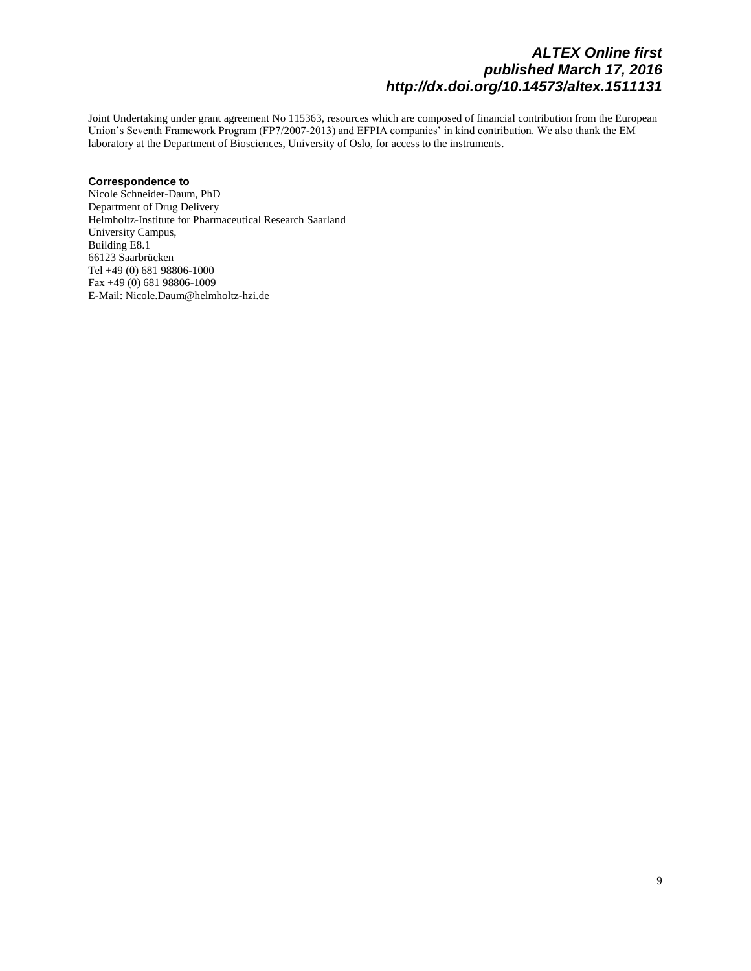Joint Undertaking under grant agreement No 115363, resources which are composed of financial contribution from the European Union's Seventh Framework Program (FP7/2007-2013) and EFPIA companies' in kind contribution. We also thank the EM laboratory at the Department of Biosciences, University of Oslo, for access to the instruments.

### **Correspondence to**

Nicole Schneider-Daum, PhD Department of Drug Delivery Helmholtz-Institute for Pharmaceutical Research Saarland University Campus, Building E8.1 66123 Saarbrücken Tel +49 (0) 681 98806-1000 Fax +49 (0) 681 98806-1009 E-Mail: Nicole.Daum@helmholtz-hzi.de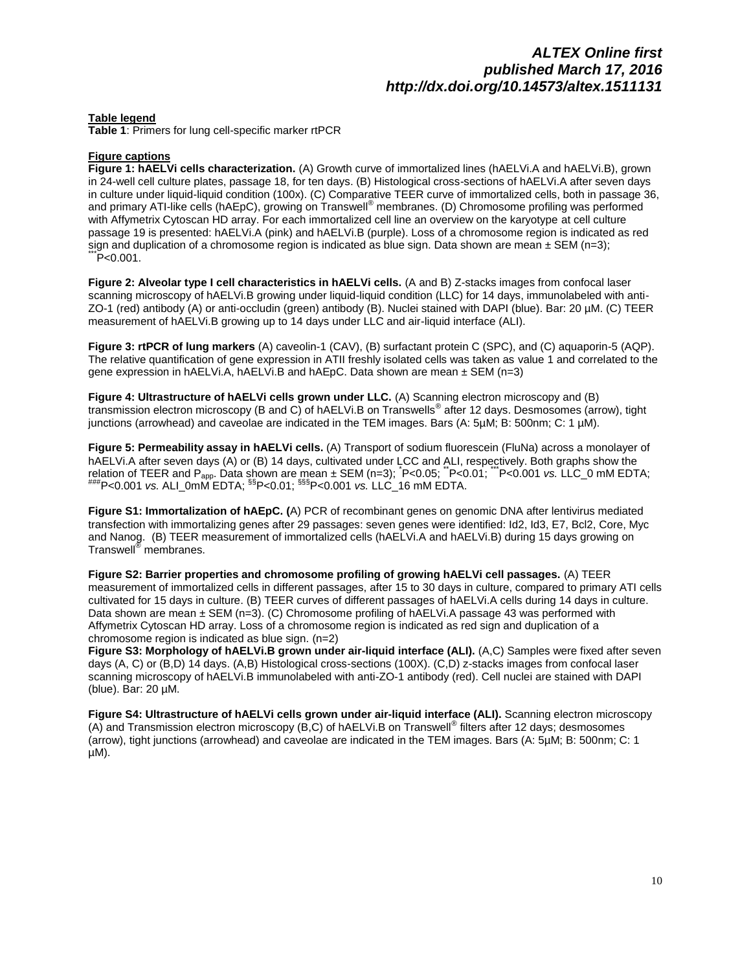#### **Table legend**

**Table 1**: Primers for lung cell-specific marker rtPCR

### **Figure captions**

**Figure 1: hAELVi cells characterization.** (A) Growth curve of immortalized lines (hAELVi.A and hAELVi.B), grown in 24-well cell culture plates, passage 18, for ten days. (B) Histological cross-sections of hAELVi.A after seven days in culture under liquid-liquid condition (100x). (C) Comparative TEER curve of immortalized cells, both in passage 36, and primary ATI-like cells (hAEpC), growing on Transwell<sup>®</sup> membranes. (D) Chromosome profiling was performed with Affymetrix Cytoscan HD array. For each immortalized cell line an overview on the karyotype at cell culture passage 19 is presented: hAELVi.A (pink) and hAELVi.B (purple). Loss of a chromosome region is indicated as red sign and duplication of a chromosome region is indicated as blue sign. Data shown are mean  $\pm$  SEM (n=3);  $^{\circ}$ P<0.001.

**Figure 2: Alveolar type I cell characteristics in hAELVi cells.** (A and B) Z-stacks images from confocal laser scanning microscopy of hAELVi.B growing under liquid-liquid condition (LLC) for 14 days, immunolabeled with anti-ZO-1 (red) antibody (A) or anti-occludin (green) antibody (B). Nuclei stained with DAPI (blue). Bar: 20 µM. (C) TEER measurement of hAELVi.B growing up to 14 days under LLC and air-liquid interface (ALI).

**Figure 3: rtPCR of lung markers** (A) caveolin-1 (CAV), (B) surfactant protein C (SPC), and (C) aquaporin-5 (AQP). The relative quantification of gene expression in ATII freshly isolated cells was taken as value 1 and correlated to the gene expression in hAELVi.A, hAELVi.B and hAEpC. Data shown are mean ± SEM (n=3)

**Figure 4: Ultrastructure of hAELVi cells grown under LLC.** (A) Scanning electron microscopy and (B) transmission electron microscopy (B and C) of hAELVi.B on Transwells® after 12 days. Desmosomes (arrow), tight junctions (arrowhead) and caveolae are indicated in the TEM images. Bars (A: 5µM; B: 500nm; C: 1 µM).

**Figure 5: Permeability assay in hAELVi cells.** (A) Transport of sodium fluorescein (FluNa) across a monolayer of hAELVi.A after seven days (A) or (B) 14 days, cultivated under LCC and ALI, respectively. Both graphs show the relation of TEER and P<sub>app</sub>. Data shown are mean ± SEM (n=3); <sup>\*</sup>P<0.05; <sup>\*\*</sup>P<0.01; <sup>\*\*\*</sup>P<0.001 *vs.* LLC\_0 mM EDTA; ###P<0.001 *vs.* ALI\_0mM EDTA; §§P<0.01; §§§P<0.001 *vs.* LLC\_16 mM EDTA.

**Figure S1: Immortalization of hAEpC. (**A) PCR of recombinant genes on genomic DNA after lentivirus mediated transfection with immortalizing genes after 29 passages: seven genes were identified: Id2, Id3, E7, Bcl2, Core, Myc and Nanog. (B) TEER measurement of immortalized cells (hAELVi.A and hAELVi.B) during 15 days growing on Transwell® membranes.

**Figure S2: Barrier properties and chromosome profiling of growing hAELVi cell passages.** (A) TEER measurement of immortalized cells in different passages, after 15 to 30 days in culture, compared to primary ATI cells cultivated for 15 days in culture. (B) TEER curves of different passages of hAELVi.A cells during 14 days in culture. Data shown are mean ± SEM (n=3). (C) Chromosome profiling of hAELVi.A passage 43 was performed with Affymetrix Cytoscan HD array. Loss of a chromosome region is indicated as red sign and duplication of a chromosome region is indicated as blue sign. (n=2)

**Figure S3: Morphology of hAELVi.B grown under air-liquid interface (ALI).** (A,C) Samples were fixed after seven days (A, C) or (B,D) 14 days. (A,B) Histological cross-sections (100X). (C,D) z-stacks images from confocal laser scanning microscopy of hAELVi.B immunolabeled with anti-ZO-1 antibody (red). Cell nuclei are stained with DAPI (blue). Bar: 20 µM.

**Figure S4: Ultrastructure of hAELVi cells grown under air-liquid interface (ALI).** Scanning electron microscopy (A) and Transmission electron microscopy (B,C) of hAELVi.B on Transwell<sup>®</sup> filters after 12 days; desmosomes (arrow), tight junctions (arrowhead) and caveolae are indicated in the TEM images. Bars (A: 5µM; B: 500nm; C: 1 µM).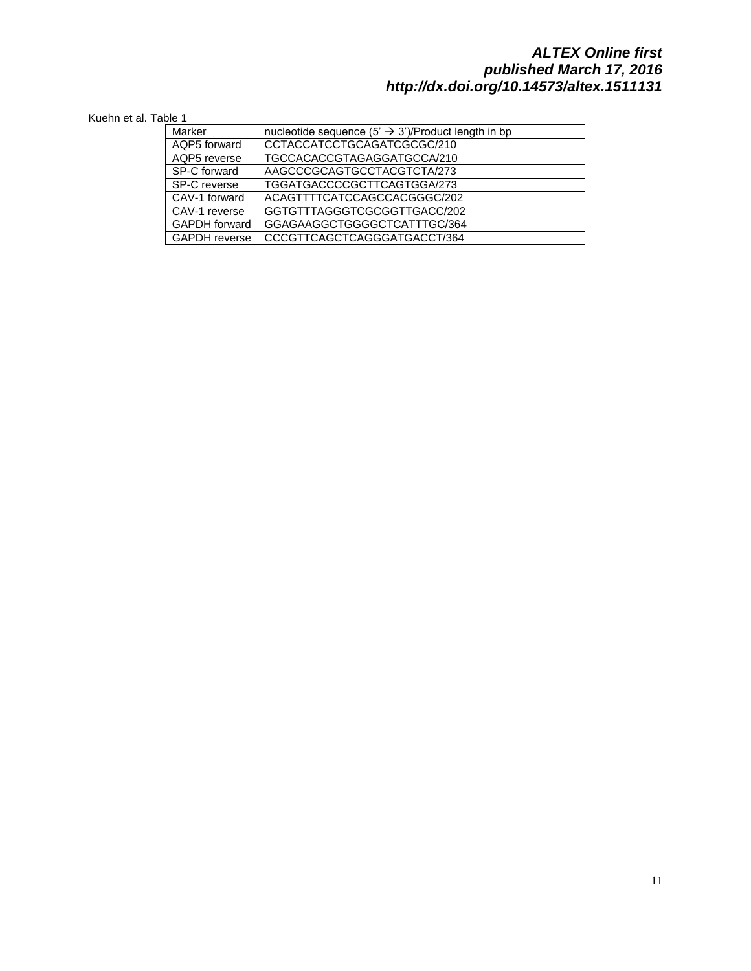### Kuehn et al. Table 1

| Marker               | nucleotide sequence $(5' \rightarrow 3')$ /Product length in bp |
|----------------------|-----------------------------------------------------------------|
| AQP5 forward         | CCTACCATCCTGCAGATCGCGC/210                                      |
| AQP5 reverse         | TGCCACACCGTAGAGGATGCCA/210                                      |
| SP-C forward         | AAGCCCGCAGTGCCTACGTCTA/273                                      |
| SP-C reverse         | TGGATGACCCCGCTTCAGTGGA/273                                      |
| CAV-1 forward        | ACAGTTTTCATCCAGCCACGGGC/202                                     |
| CAV-1 reverse        | GGTGTTTAGGGTCGCGGTTGACC/202                                     |
| <b>GAPDH</b> forward | GGAGAAGGCTGGGGCTCATTTGC/364                                     |
| <b>GAPDH</b> reverse | CCCGTTCAGCTCAGGGATGACCT/364                                     |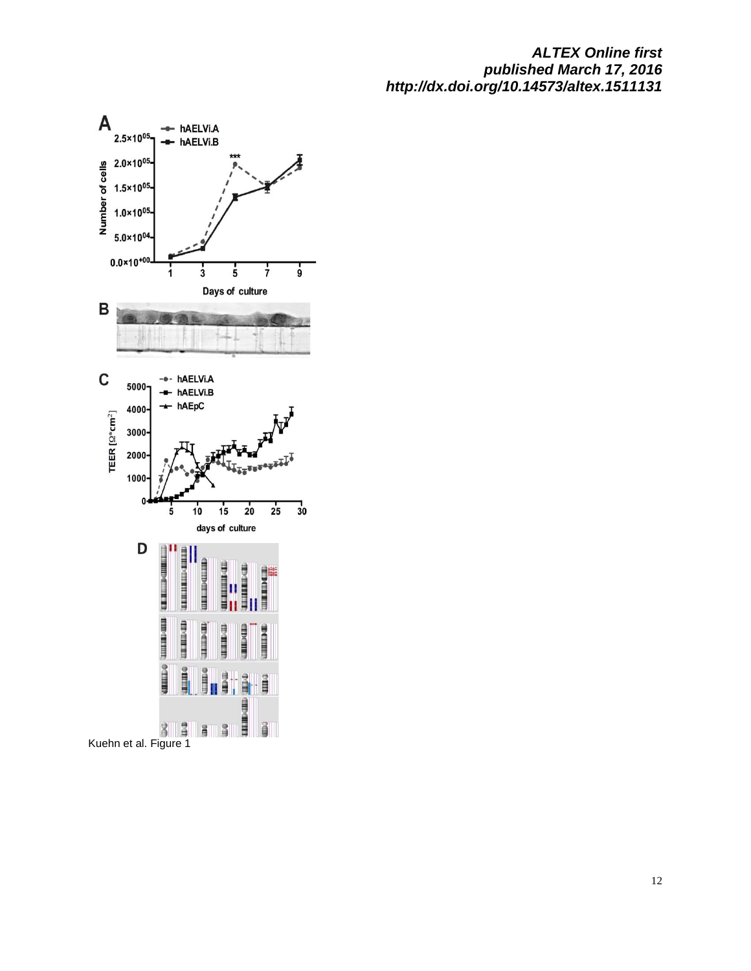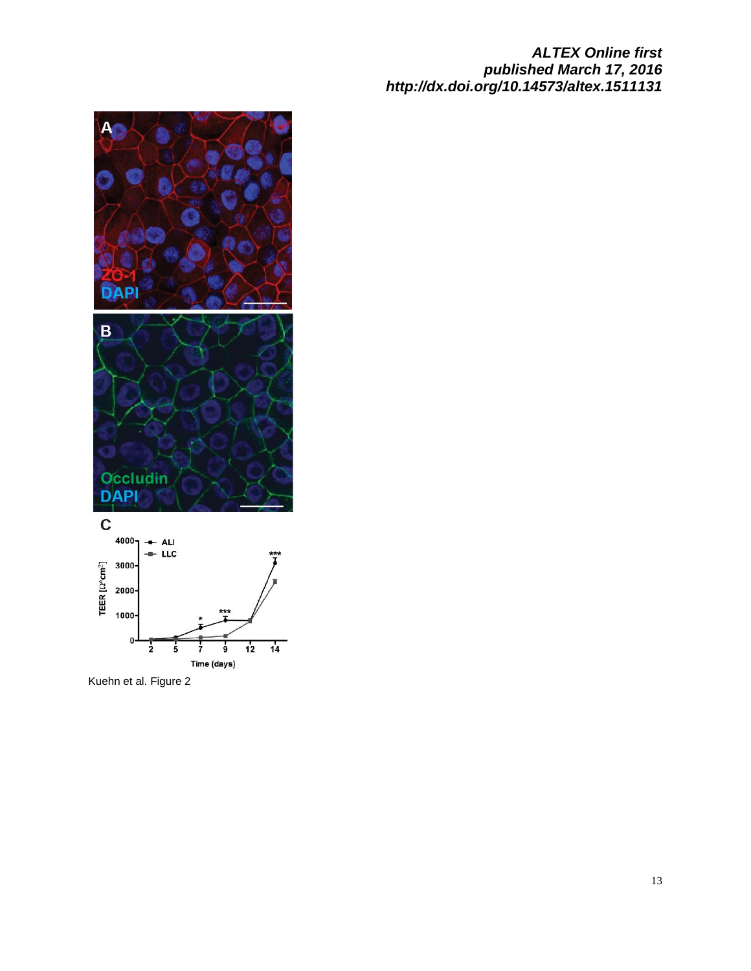

Kuehn et al. Figure 2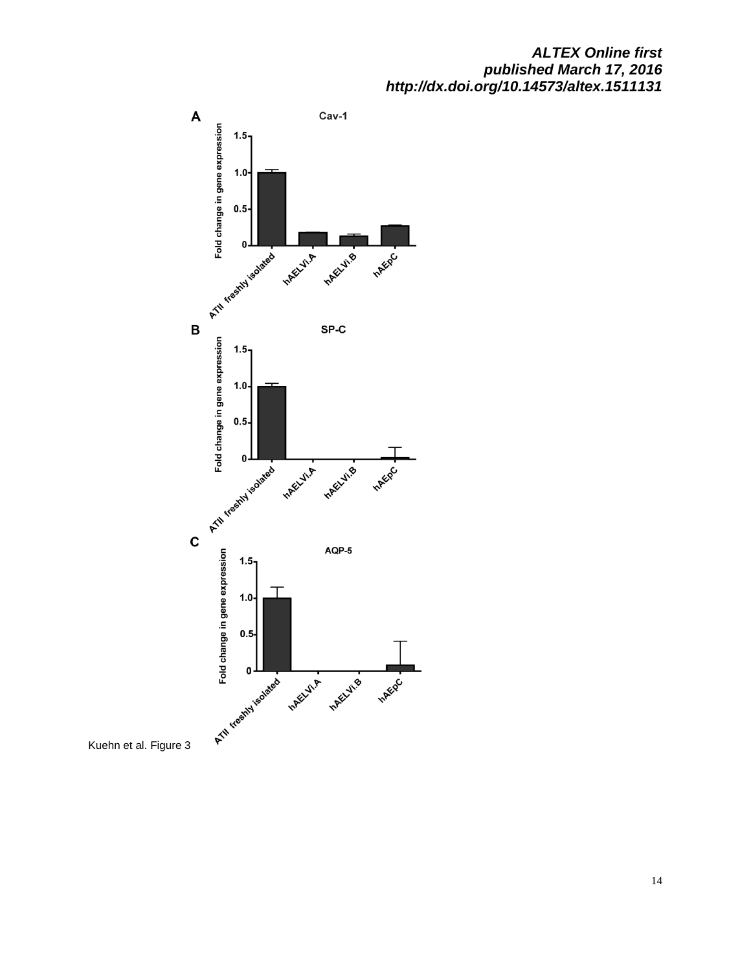

Kuehn et al. Figure 3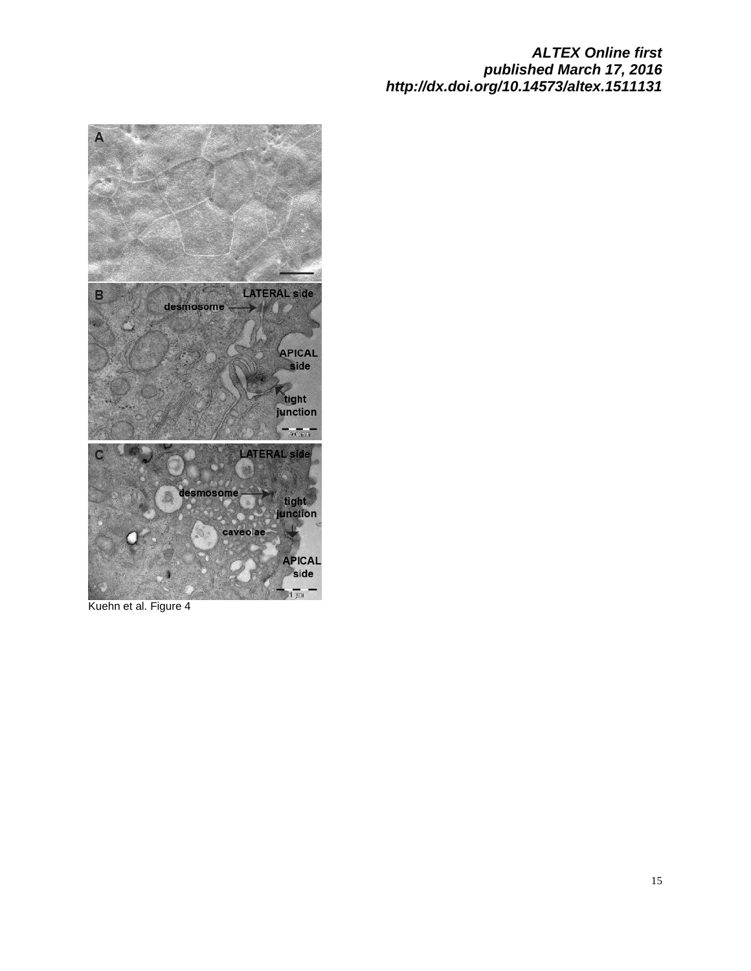

Kuehn et al. Figure 4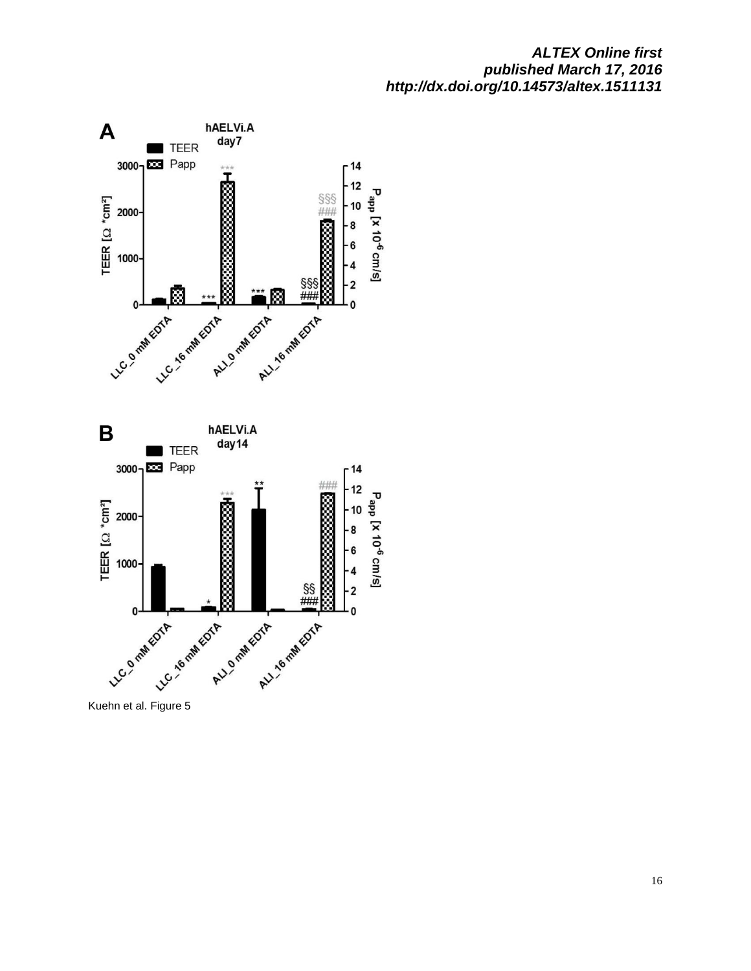

Kuehn et al. Figure 5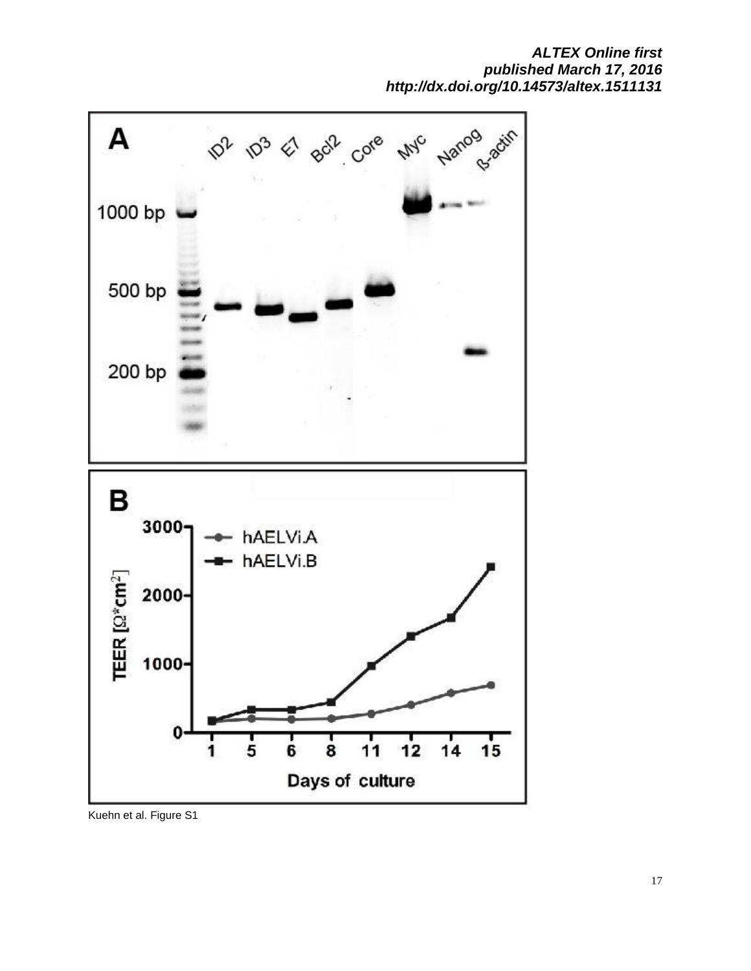

Kuehn et al. Figure S1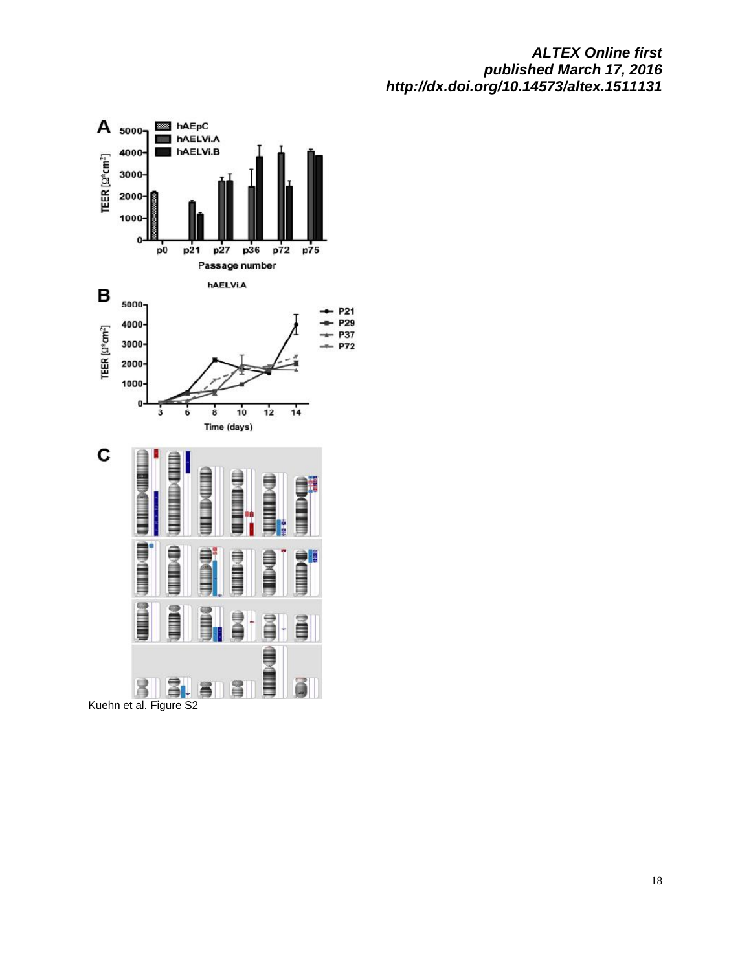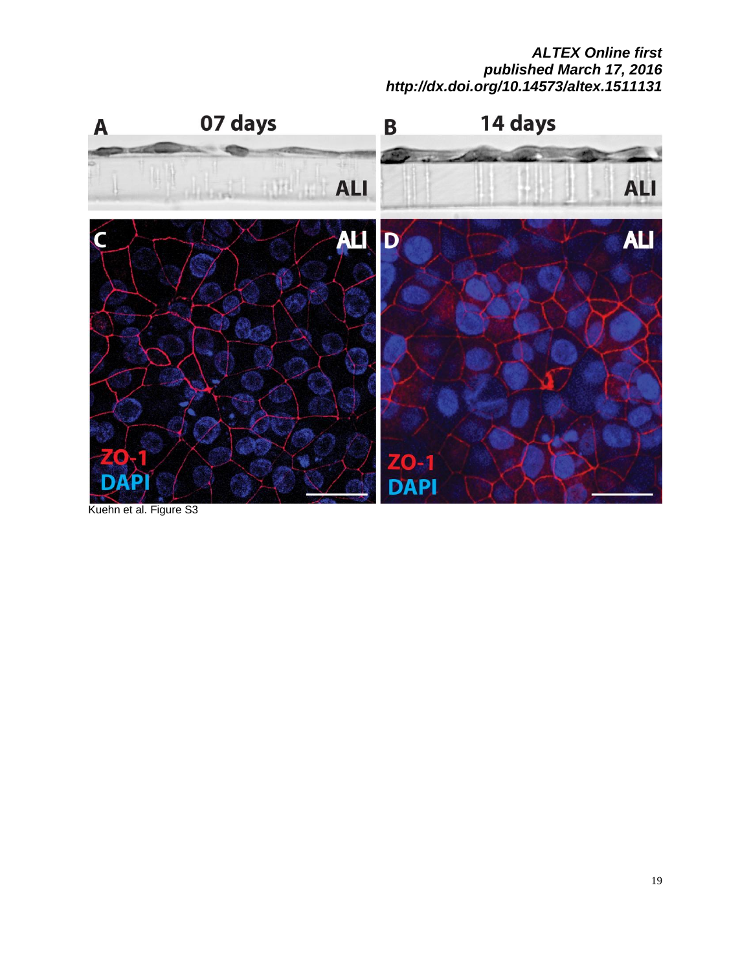

Kuehn et al. Figure S3